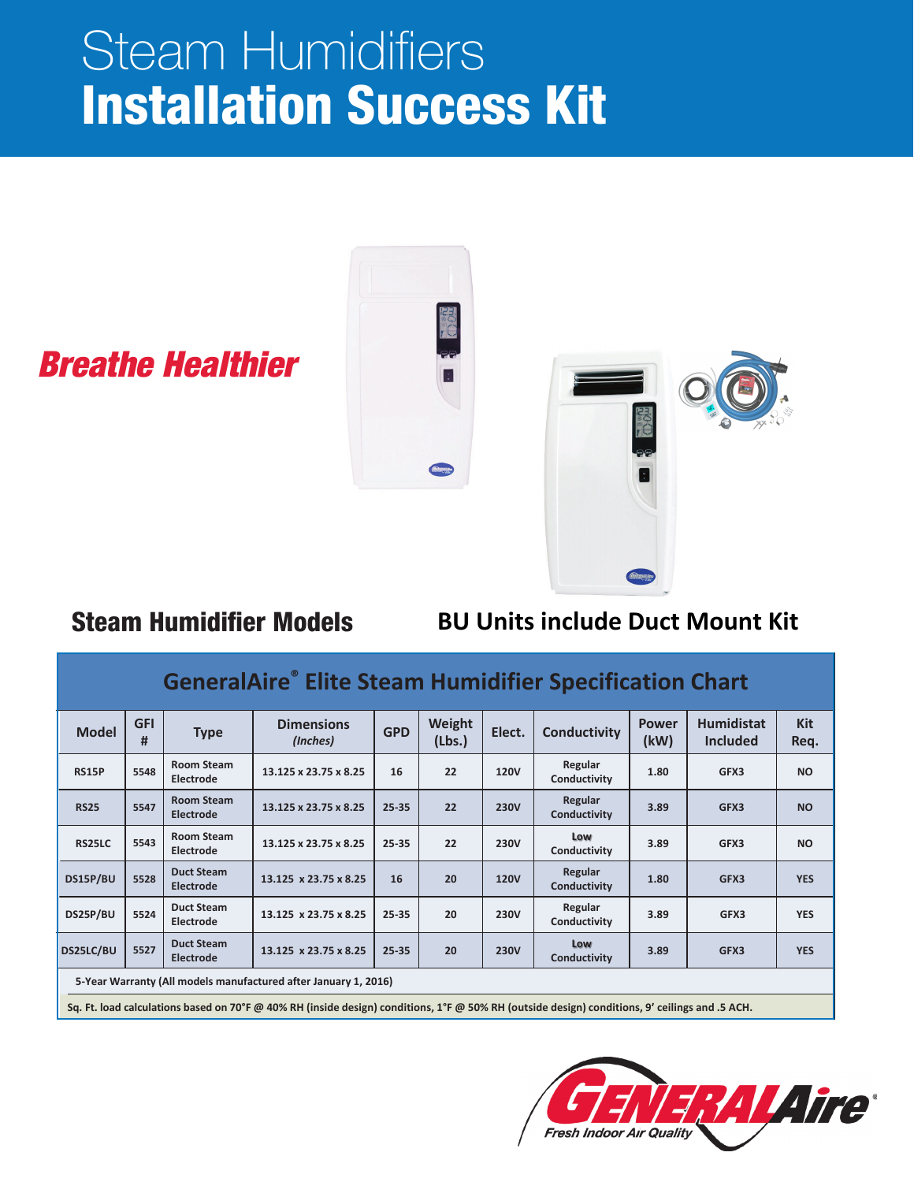# Steam Humidifiers Installation Success Kit



## *Breathe Healthier*

## Steam Humidifier Models

#### **BU Units include Duct Mount Kit**

## **GeneralAire® Elite Steam Humidifier Specification Chart**

| <b>Model</b>                                                    | <b>GFI</b><br># | <b>Type</b>                           | <b>Dimensions</b><br>(Inches)                                                                                                                  | <b>GPD</b> | Weight<br>(Lbs.) | Elect.      | Conductivity            | <b>Power</b><br>(kW) | <b>Humidistat</b><br><b>Included</b> | <b>Kit</b><br>Req. |
|-----------------------------------------------------------------|-----------------|---------------------------------------|------------------------------------------------------------------------------------------------------------------------------------------------|------------|------------------|-------------|-------------------------|----------------------|--------------------------------------|--------------------|
| <b>RS15P</b>                                                    | 5548            | <b>Room Steam</b><br>Electrode        | 13.125 x 23.75 x 8.25                                                                                                                          | 16         | 22               | <b>120V</b> | Regular<br>Conductivity | 1.80                 | GFX3                                 | <b>NO</b>          |
| <b>RS25</b>                                                     | 5547            | <b>Room Steam</b><br><b>Electrode</b> | 13.125 x 23.75 x 8.25                                                                                                                          | 25-35      | 22               | <b>230V</b> | Regular<br>Conductivity | 3.89                 | GFX3                                 | <b>NO</b>          |
| <b>RS25LC</b>                                                   | 5543            | <b>Room Steam</b><br>Electrode        | 13.125 x 23.75 x 8.25                                                                                                                          | 25-35      | 22               | <b>230V</b> | Low<br>Conductivity     | 3.89                 | GFX3                                 | <b>NO</b>          |
| DS15P/BU                                                        | 5528            | <b>Duct Steam</b><br><b>Electrode</b> | 13.125 x 23.75 x 8.25                                                                                                                          | 16         | 20               | <b>120V</b> | Regular<br>Conductivity | 1.80                 | GFX3                                 | <b>YES</b>         |
| DS25P/BU                                                        | 5524            | <b>Duct Steam</b><br>Electrode        | 13.125 x 23.75 x 8.25                                                                                                                          | 25-35      | 20               | <b>230V</b> | Regular<br>Conductivity | 3.89                 | GFX3                                 | <b>YES</b>         |
| DS25LC/BU                                                       | 5527            | <b>Duct Steam</b><br><b>Electrode</b> | 13.125 x 23.75 x 8.25                                                                                                                          | 25-35      | 20               | <b>230V</b> | Low<br>Conductivity     | 3.89                 | GFX3                                 | <b>YES</b>         |
| 5-Year Warranty (All models manufactured after January 1, 2016) |                 |                                       |                                                                                                                                                |            |                  |             |                         |                      |                                      |                    |
|                                                                 |                 |                                       | Sq. Ft. load calculations based on 70°F @ 40% RH (inside design) conditions, 1°F @ 50% RH (outside design) conditions, 9' ceilings and .5 ACH. |            |                  |             |                         |                      |                                      |                    |

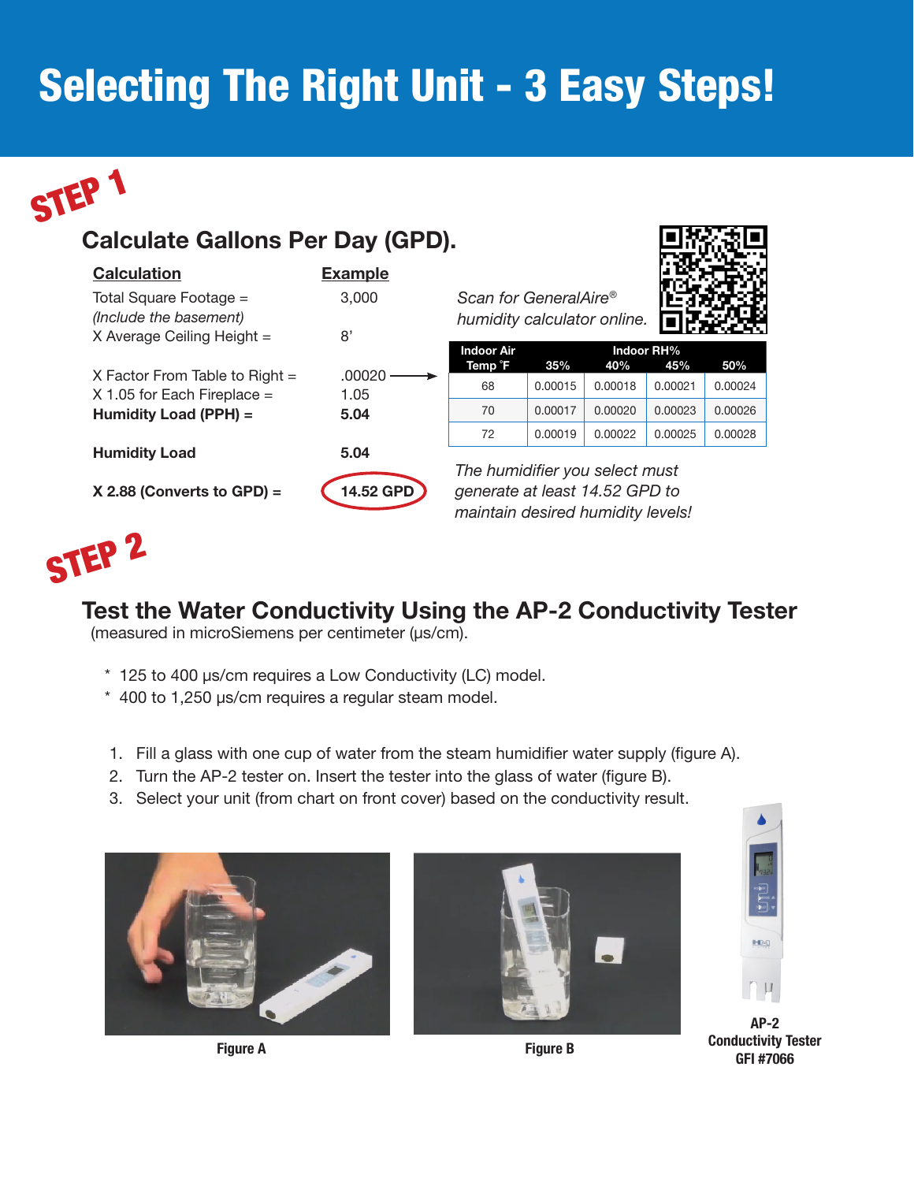## Selecting The Right Unit - 3 Easy Steps!



## Calculate Gallons Per Day (GPD).

| <b>Calculation</b>                               | <b>Example</b> |
|--------------------------------------------------|----------------|
| Total Square Footage =<br>(Include the basement) | 3,000          |
| X Average Ceiling Height =                       | 8'             |
| X Factor From Table to Right $=$                 | .00020         |
| $X$ 1.05 for Each Fireplace $=$                  | 1.05           |
| Humidity Load (PPH) =                            | 5.04           |
| <b>Humidity Load</b>                             | 5.04           |
| X 2.88 (Converts to GPD) =                       | 14.52 GPD      |

*Scan for GeneralAire® humidity calculator online.*



| <b>Indoor Air</b> | Indoor RH% |         |         |         |  |  |
|-------------------|------------|---------|---------|---------|--|--|
| Temp F            | 35%        | 40%     | 45%     | 50%     |  |  |
| 68                | 0.00015    | 0.00018 | 0.00021 | 0.00024 |  |  |
| 70                | 0.00017    | 0.00020 | 0.00023 | 0.00026 |  |  |
| 72                | 0.00019    | 0.00022 | 0.00025 | 0.00028 |  |  |

*The humidifier you select must generate at least 14.52 GPD to maintain desired humidity levels!*



#### Test the Water Conductivity Using the AP-2 Conductivity Tester

(measured in microSiemens per centimeter (µs/cm).

- \* 125 to 400 µs/cm requires a Low Conductivity (LC) model.
- \* 400 to 1,250 µs/cm requires a regular steam model.
- 1. Fill a glass with one cup of water from the steam humidifier water supply (figure A).
- 2. Turn the AP-2 tester on. Insert the tester into the glass of water (figure B).
- 3. Select your unit (from chart on front cover) based on the conductivity result.



Figure A **Figure B** 





AP-2 Conductivity Tester GFI #7066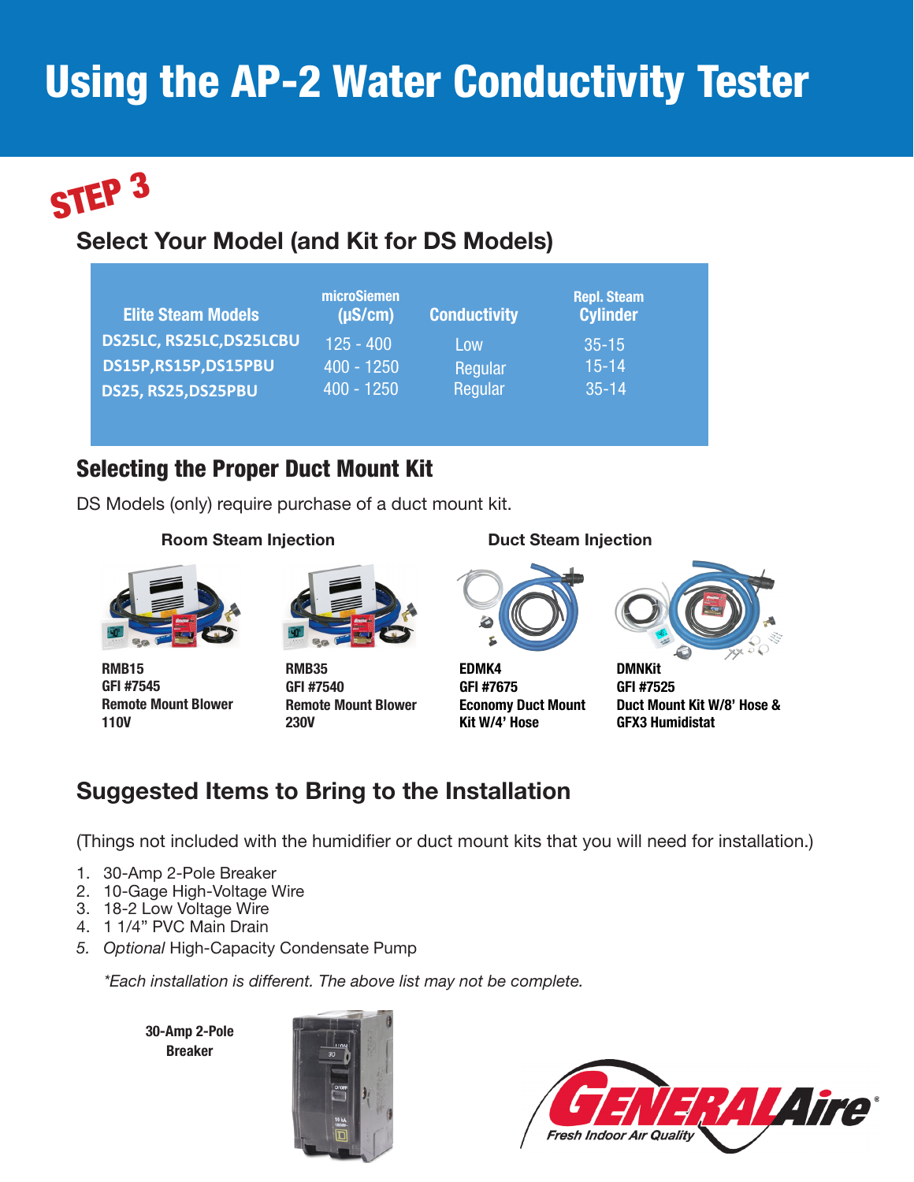## **Using the AP-2 Water Conductivity Tester**



## Select Your Model (and Kit for DS Models)

| <b>Elite Steam Models</b> | microSiemen<br>$(\mu S/cm)$ | <b>Conductivity</b> | <b>Repl. Steam</b><br><b>Cylinder</b> |
|---------------------------|-----------------------------|---------------------|---------------------------------------|
| DS25LC, RS25LC, DS25LCBU  | $125 - 400$                 | Low                 | $35 - 15$                             |
| DS15P,RS15P,DS15PBU       | $400 - 1250$                | Regular             | $15 - 14$                             |
| DS25, RS25, DS25PBU       | $400 - 1250$                | Regular             | $35 - 14$                             |

#### Selecting the Proper Duct Mount Kit

DS Models (only) require purchase of a duct mount kit.

#### Room Steam Injection **Duct Steam Injection**



RMB15 GFI #7545 Remote Mount Blower 110V



RMB35 GFI #7540 Remote Mount Blower 230V



EDMK4 GFI #7675 Economy Duct Mount Kit W/4' Hose



**DMNKit** GFI #7525 Duct Mount Kit W/8' Hose & GFX3 Humidistat

## Suggested Items to Bring to the Installation

(Things not included with the humidifier or duct mount kits that you will need for installation.)

- 1. 30-Amp 2-Pole Breaker
- 2. 10-Gage High-Voltage Wire
- 3. 18-2 Low Voltage Wire
- 4. 1 1/4" PVC Main Drain
- *5. Optional* High-Capacity Condensate Pump

*\*Each installation is different. The above list may not be complete.*

30-Amp 2-Pole Breaker